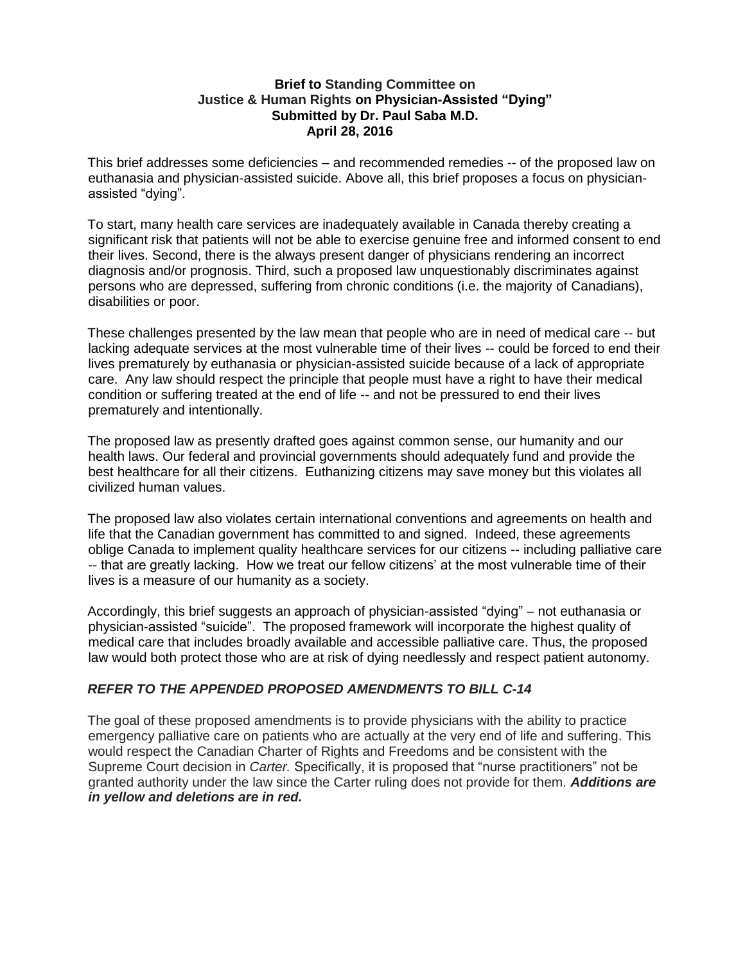### **Brief to Standing Committee on Justice & Human Rights on Physician-Assisted "Dying" Submitted by Dr. Paul Saba M.D. April 28, 2016**

This brief addresses some deficiencies – and recommended remedies -- of the proposed law on euthanasia and physician-assisted suicide. Above all, this brief proposes a focus on physicianassisted "dying".

To start, many health care services are inadequately available in Canada thereby creating a significant risk that patients will not be able to exercise genuine free and informed consent to end their lives. Second, there is the always present danger of physicians rendering an incorrect diagnosis and/or prognosis. Third, such a proposed law unquestionably discriminates against persons who are depressed, suffering from chronic conditions (i.e. the majority of Canadians), disabilities or poor.

These challenges presented by the law mean that people who are in need of medical care -- but lacking adequate services at the most vulnerable time of their lives -- could be forced to end their lives prematurely by euthanasia or physician-assisted suicide because of a lack of appropriate care. Any law should respect the principle that people must have a right to have their medical condition or suffering treated at the end of life -- and not be pressured to end their lives prematurely and intentionally.

The proposed law as presently drafted goes against common sense, our humanity and our health laws. Our federal and provincial governments should adequately fund and provide the best healthcare for all their citizens. Euthanizing citizens may save money but this violates all civilized human values.

The proposed law also violates certain international conventions and agreements on health and life that the Canadian government has committed to and signed. Indeed, these agreements oblige Canada to implement quality healthcare services for our citizens -- including palliative care -- that are greatly lacking. How we treat our fellow citizens' at the most vulnerable time of their lives is a measure of our humanity as a society.

Accordingly, this brief suggests an approach of physician-assisted "dying" – not euthanasia or physician-assisted "suicide". The proposed framework will incorporate the highest quality of medical care that includes broadly available and accessible palliative care. Thus, the proposed law would both protect those who are at risk of dying needlessly and respect patient autonomy.

# *REFER TO THE APPENDED PROPOSED AMENDMENTS TO BILL C-14*

The goal of these proposed amendments is to provide physicians with the ability to practice emergency palliative care on patients who are actually at the very end of life and suffering. This would respect the Canadian Charter of Rights and Freedoms and be consistent with the Supreme Court decision in *Carter.* Specifically, it is proposed that "nurse practitioners" not be granted authority under the law since the Carter ruling does not provide for them. *Additions are in yellow and deletions are in red.*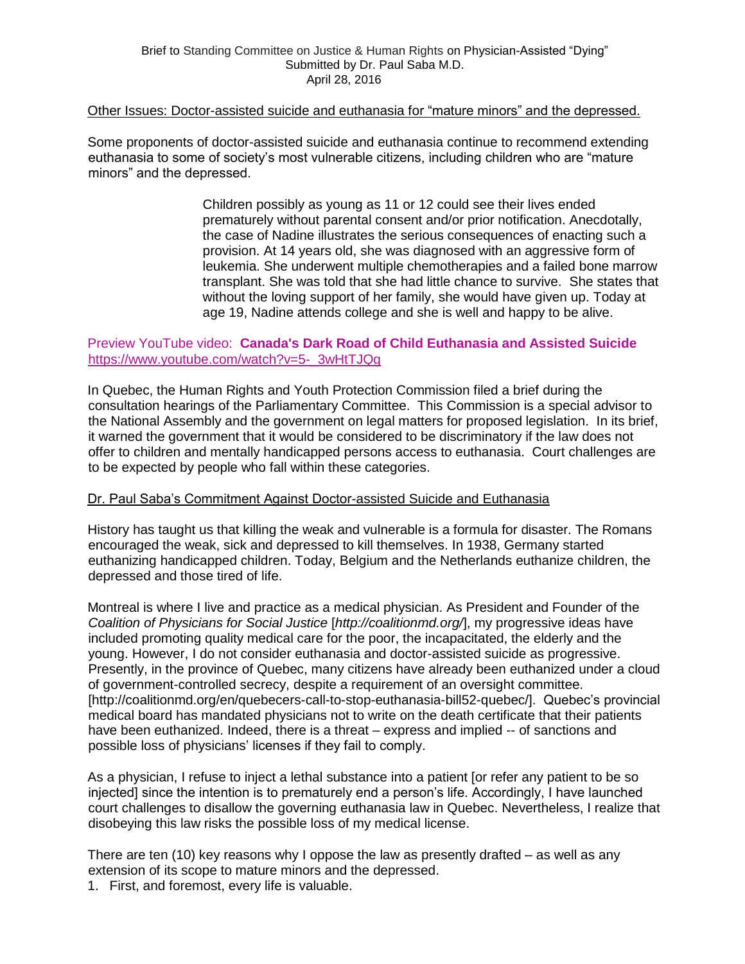#### Other Issues: Doctor-assisted suicide and euthanasia for "mature minors" and the depressed.

Some proponents of doctor-assisted suicide and euthanasia continue to recommend extending euthanasia to some of society's most vulnerable citizens, including children who are "mature" minors" and the depressed.

> Children possibly as young as 11 or 12 could see their lives ended prematurely without parental consent and/or prior notification. Anecdotally, the case of Nadine illustrates the serious consequences of enacting such a provision. At 14 years old, she was diagnosed with an aggressive form of leukemia. She underwent multiple chemotherapies and a failed bone marrow transplant. She was told that she had little chance to survive. She states that without the loving support of her family, she would have given up. Today at age 19, Nadine attends college and she is well and happy to be alive.

## Preview YouTube video: **[Canada's Dark Road of Child Euthanasia and Assisted Suicide](https://www.youtube.com/watch?v=5-_3wHtTJQg&authuser=0)** https://www.youtube.com/watch?v=5-\_3wHtTJQq

In Quebec, the Human Rights and Youth Protection Commission filed a brief during the consultation hearings of the Parliamentary Committee. This Commission is a special advisor to the National Assembly and the government on legal matters for proposed legislation. In its brief, it warned the government that it would be considered to be discriminatory if the law does not offer to children and mentally handicapped persons access to euthanasia. Court challenges are to be expected by people who fall within these categories.

## Dr. Paul Saba's Commitment Against Doctor-assisted Suicide and Euthanasia

History has taught us that killing the weak and vulnerable is a formula for disaster. The Romans encouraged the weak, sick and depressed to kill themselves. In 1938, Germany started euthanizing handicapped children. Today, Belgium and the Netherlands euthanize children, the depressed and those tired of life.

Montreal is where I live and practice as a medical physician. As President and Founder of the *Coalition of Physicians for Social Justice* [*http://coalitionmd.org/*], my progressive ideas have included promoting quality medical care for the poor, the incapacitated, the elderly and the young. However, I do not consider euthanasia and doctor-assisted suicide as progressive. Presently, in the province of Quebec, many citizens have already been euthanized under a cloud of government-controlled secrecy, despite a requirement of an oversight committee. [http://coalitionmd.org/en/quebecers-call-to-stop-euthanasia-bill52-quebec/]. Quebec's provincial medical board has mandated physicians not to write on the death certificate that their patients have been euthanized. Indeed, there is a threat – express and implied -- of sanctions and possible loss of physicians' licenses if they fail to comply.

As a physician, I refuse to inject a lethal substance into a patient [or refer any patient to be so injected] since the intention is to prematurely end a person's life. Accordingly, I have launched court challenges to disallow the governing euthanasia law in Quebec. Nevertheless, I realize that disobeying this law risks the possible loss of my medical license.

There are ten (10) key reasons why I oppose the law as presently drafted – as well as any extension of its scope to mature minors and the depressed.

1. First, and foremost, every life is valuable.